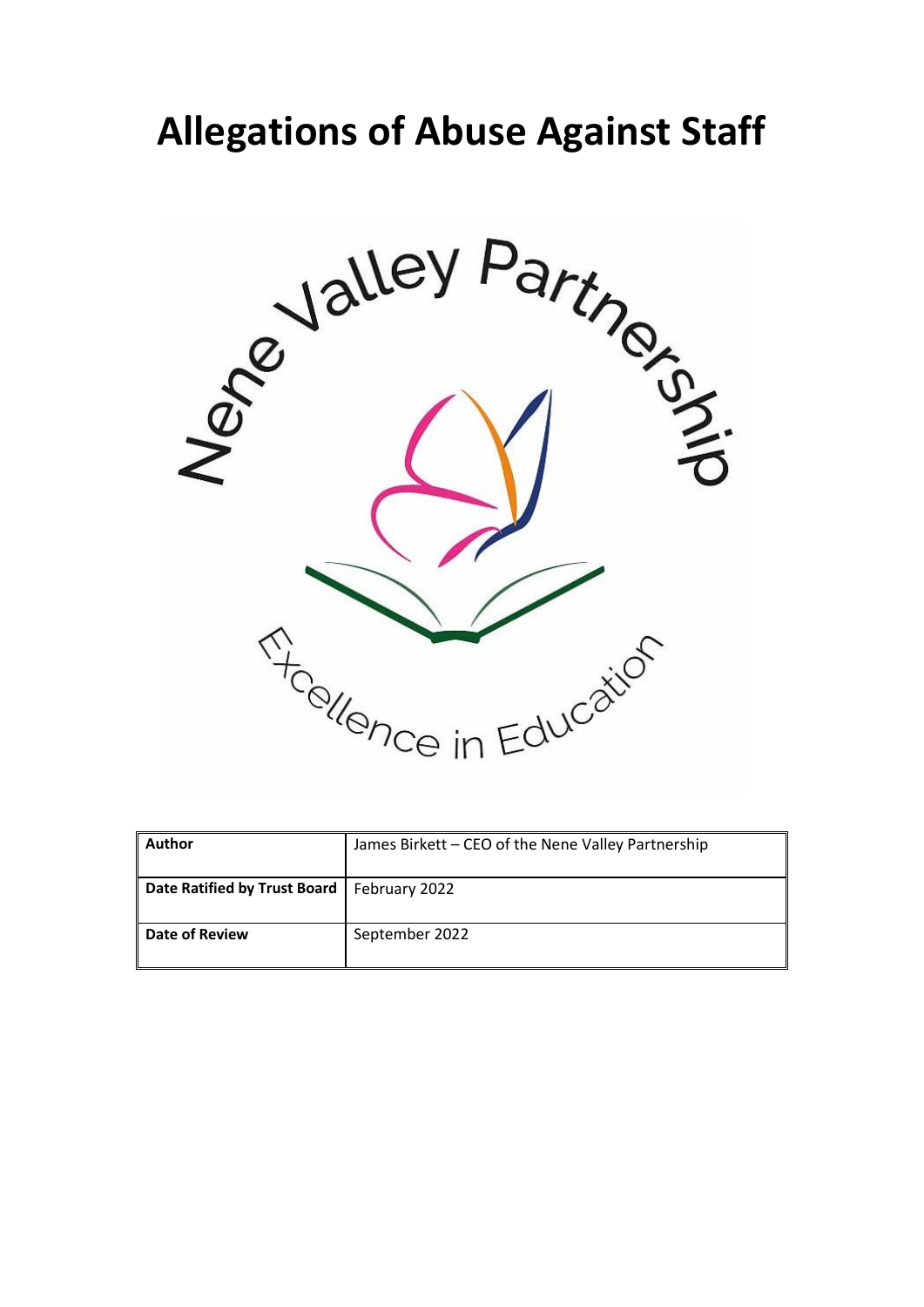# **Allegations of Abuse Against Staff**



| <b>Author</b>                | James Birkett - CEO of the Nene Valley Partnership |
|------------------------------|----------------------------------------------------|
| Date Ratified by Trust Board | February 2022                                      |
| <b>Date of Review</b>        | September 2022                                     |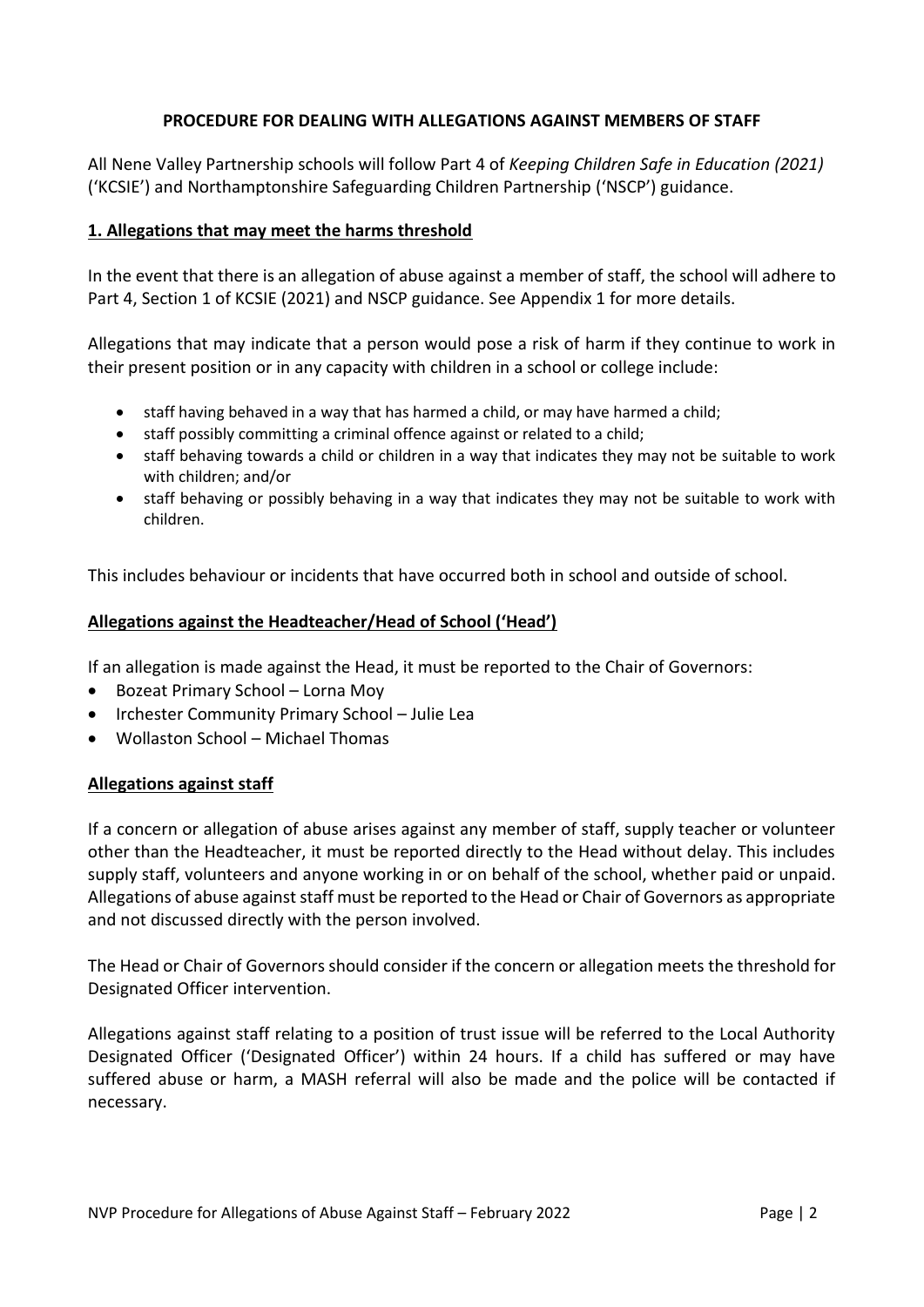## **PROCEDURE FOR DEALING WITH ALLEGATIONS AGAINST MEMBERS OF STAFF**

All Nene Valley Partnership schools will follow Part 4 of *Keeping Children Safe in Education (2021)* ('KCSIE') and Northamptonshire Safeguarding Children Partnership ('NSCP') guidance.

#### **1. Allegations that may meet the harms threshold**

In the event that there is an allegation of abuse against a member of staff, the school will adhere to Part 4, Section 1 of KCSIE (2021) and NSCP guidance. See Appendix 1 for more details.

Allegations that may indicate that a person would pose a risk of harm if they continue to work in their present position or in any capacity with children in a school or college include:

- staff having behaved in a way that has harmed a child, or may have harmed a child;
- staff possibly committing a criminal offence against or related to a child;
- staff behaving towards a child or children in a way that indicates they may not be suitable to work with children; and/or
- staff behaving or possibly behaving in a way that indicates they may not be suitable to work with children.

This includes behaviour or incidents that have occurred both in school and outside of school.

#### **Allegations against the Headteacher/Head of School ('Head')**

If an allegation is made against the Head, it must be reported to the Chair of Governors:

- Bozeat Primary School Lorna Moy
- Irchester Community Primary School Julie Lea
- Wollaston School Michael Thomas

#### **Allegations against staff**

If a concern or allegation of abuse arises against any member of staff, supply teacher or volunteer other than the Headteacher, it must be reported directly to the Head without delay. This includes supply staff, volunteers and anyone working in or on behalf of the school, whether paid or unpaid. Allegations of abuse against staff must be reported to the Head or Chair of Governors as appropriate and not discussed directly with the person involved.

The Head or Chair of Governors should consider if the concern or allegation meets the threshold for Designated Officer intervention.

Allegations against staff relating to a position of trust issue will be referred to the Local Authority Designated Officer ('Designated Officer') within 24 hours. If a child has suffered or may have suffered abuse or harm, a MASH referral will also be made and the police will be contacted if necessary.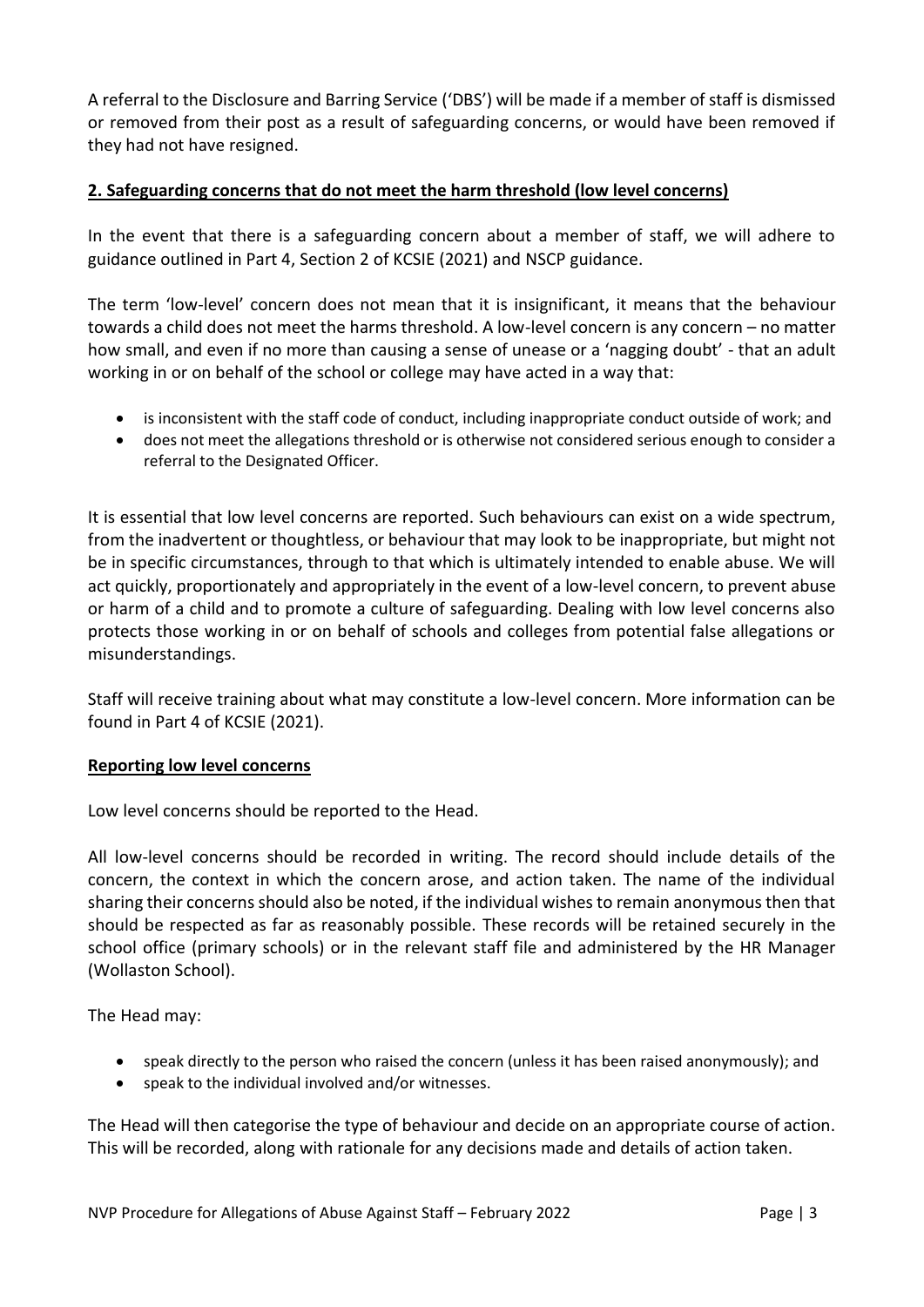A referral to the Disclosure and Barring Service ('DBS') will be made if a member of staff is dismissed or removed from their post as a result of safeguarding concerns, or would have been removed if they had not have resigned.

## **2. Safeguarding concerns that do not meet the harm threshold (low level concerns)**

In the event that there is a safeguarding concern about a member of staff, we will adhere to guidance outlined in Part 4, Section 2 of KCSIE (2021) and NSCP guidance.

The term 'low-level' concern does not mean that it is insignificant, it means that the behaviour towards a child does not meet the harms threshold. A low-level concern is any concern – no matter how small, and even if no more than causing a sense of unease or a 'nagging doubt' - that an adult working in or on behalf of the school or college may have acted in a way that:

- is inconsistent with the staff code of conduct, including inappropriate conduct outside of work; and
- does not meet the allegations threshold or is otherwise not considered serious enough to consider a referral to the Designated Officer.

It is essential that low level concerns are reported. Such behaviours can exist on a wide spectrum, from the inadvertent or thoughtless, or behaviour that may look to be inappropriate, but might not be in specific circumstances, through to that which is ultimately intended to enable abuse. We will act quickly, proportionately and appropriately in the event of a low-level concern, to prevent abuse or harm of a child and to promote a culture of safeguarding. Dealing with low level concerns also protects those working in or on behalf of schools and colleges from potential false allegations or misunderstandings.

Staff will receive training about what may constitute a low-level concern. More information can be found in Part 4 of KCSIE (2021).

#### **Reporting low level concerns**

Low level concerns should be reported to the Head.

All low-level concerns should be recorded in writing. The record should include details of the concern, the context in which the concern arose, and action taken. The name of the individual sharing their concerns should also be noted, if the individual wishes to remain anonymous then that should be respected as far as reasonably possible. These records will be retained securely in the school office (primary schools) or in the relevant staff file and administered by the HR Manager (Wollaston School).

The Head may:

- speak directly to the person who raised the concern (unless it has been raised anonymously); and
- speak to the individual involved and/or witnesses.

The Head will then categorise the type of behaviour and decide on an appropriate course of action. This will be recorded, along with rationale for any decisions made and details of action taken.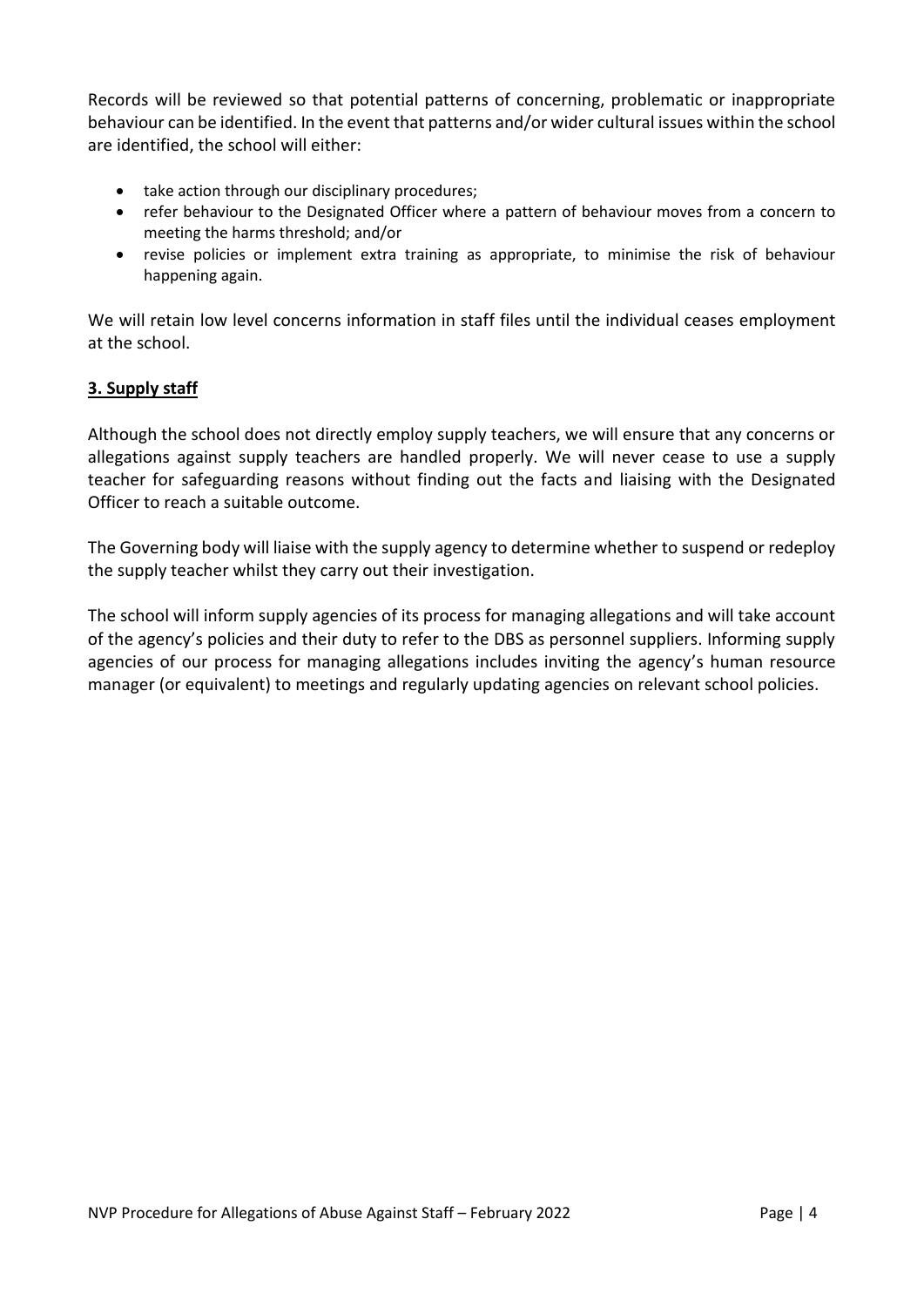Records will be reviewed so that potential patterns of concerning, problematic or inappropriate behaviour can be identified. In the event that patterns and/or wider cultural issues within the school are identified, the school will either:

- take action through our disciplinary procedures;
- refer behaviour to the Designated Officer where a pattern of behaviour moves from a concern to meeting the harms threshold; and/or
- revise policies or implement extra training as appropriate, to minimise the risk of behaviour happening again.

We will retain low level concerns information in staff files until the individual ceases employment at the school.

## **3. Supply staff**

Although the school does not directly employ supply teachers, we will ensure that any concerns or allegations against supply teachers are handled properly. We will never cease to use a supply teacher for safeguarding reasons without finding out the facts and liaising with the Designated Officer to reach a suitable outcome.

The Governing body will liaise with the supply agency to determine whether to suspend or redeploy the supply teacher whilst they carry out their investigation.

The school will inform supply agencies of its process for managing allegations and will take account of the agency's policies and their duty to refer to the DBS as personnel suppliers. Informing supply agencies of our process for managing allegations includes inviting the agency's human resource manager (or equivalent) to meetings and regularly updating agencies on relevant school policies.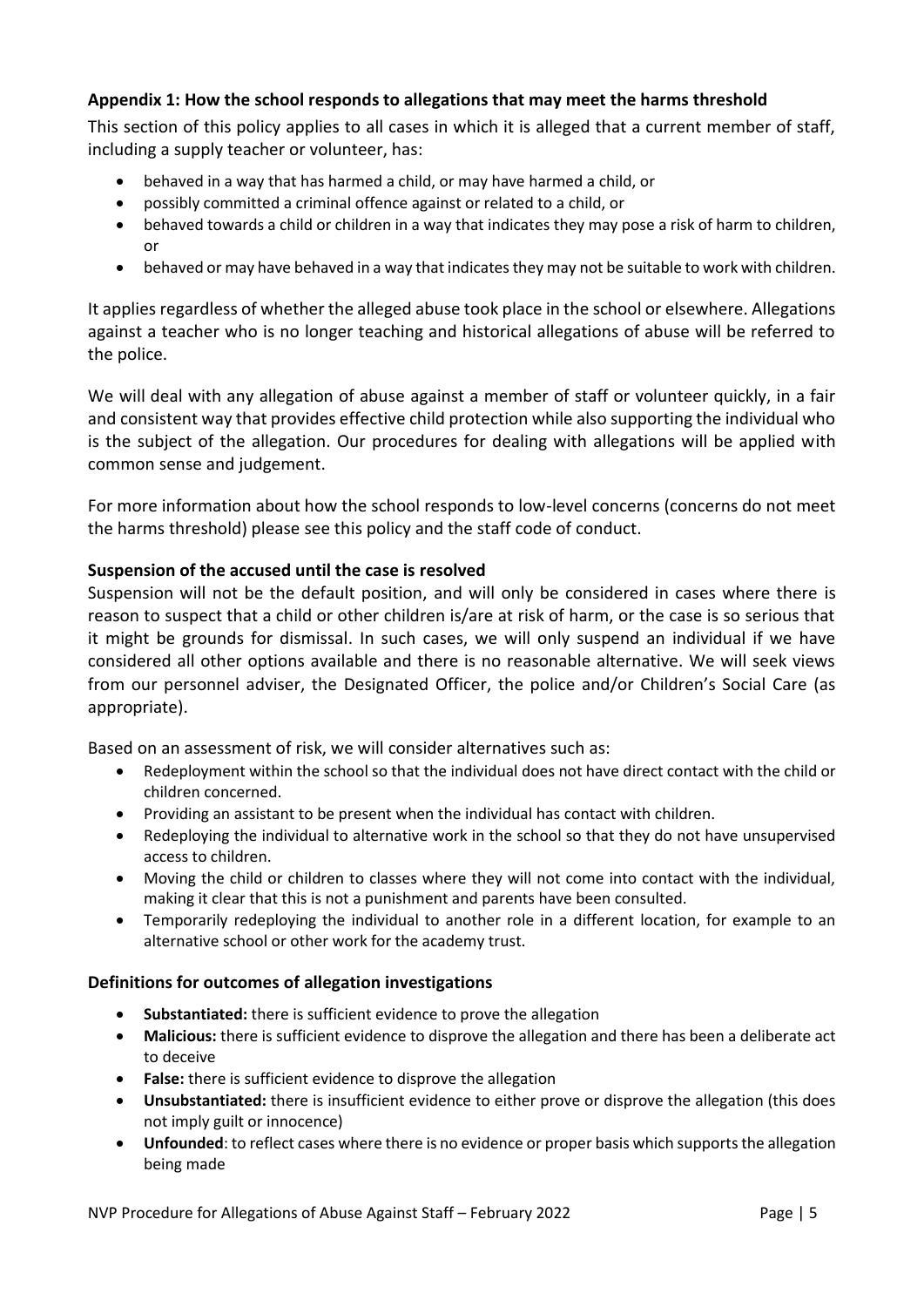# **Appendix 1: How the school responds to allegations that may meet the harms threshold**

This section of this policy applies to all cases in which it is alleged that a current member of staff, including a supply teacher or volunteer, has:

- behaved in a way that has harmed a child, or may have harmed a child, or
- possibly committed a criminal offence against or related to a child, or
- behaved towards a child or children in a way that indicates they may pose a risk of harm to children, or
- behaved or may have behaved in a way that indicates they may not be suitable to work with children.

It applies regardless of whether the alleged abuse took place in the school or elsewhere. Allegations against a teacher who is no longer teaching and historical allegations of abuse will be referred to the police.

We will deal with any allegation of abuse against a member of staff or volunteer quickly, in a fair and consistent way that provides effective child protection while also supporting the individual who is the subject of the allegation. Our procedures for dealing with allegations will be applied with common sense and judgement.

For more information about how the school responds to low-level concerns (concerns do not meet the harms threshold) please see this policy and the staff code of conduct.

#### **Suspension of the accused until the case is resolved**

Suspension will not be the default position, and will only be considered in cases where there is reason to suspect that a child or other children is/are at risk of harm, or the case is so serious that it might be grounds for dismissal. In such cases, we will only suspend an individual if we have considered all other options available and there is no reasonable alternative. We will seek views from our personnel adviser, the Designated Officer, the police and/or Children's Social Care (as appropriate).

Based on an assessment of risk, we will consider alternatives such as:

- Redeployment within the school so that the individual does not have direct contact with the child or children concerned.
- Providing an assistant to be present when the individual has contact with children.
- Redeploying the individual to alternative work in the school so that they do not have unsupervised access to children.
- Moving the child or children to classes where they will not come into contact with the individual, making it clear that this is not a punishment and parents have been consulted.
- Temporarily redeploying the individual to another role in a different location, for example to an alternative school or other work for the academy trust.

#### **Definitions for outcomes of allegation investigations**

- **Substantiated:** there is sufficient evidence to prove the allegation
- **Malicious:** there is sufficient evidence to disprove the allegation and there has been a deliberate act to deceive
- **False:** there is sufficient evidence to disprove the allegation
- **Unsubstantiated:** there is insufficient evidence to either prove or disprove the allegation (this does not imply guilt or innocence)
- **Unfounded**: to reflect cases where there is no evidence or proper basis which supports the allegation being made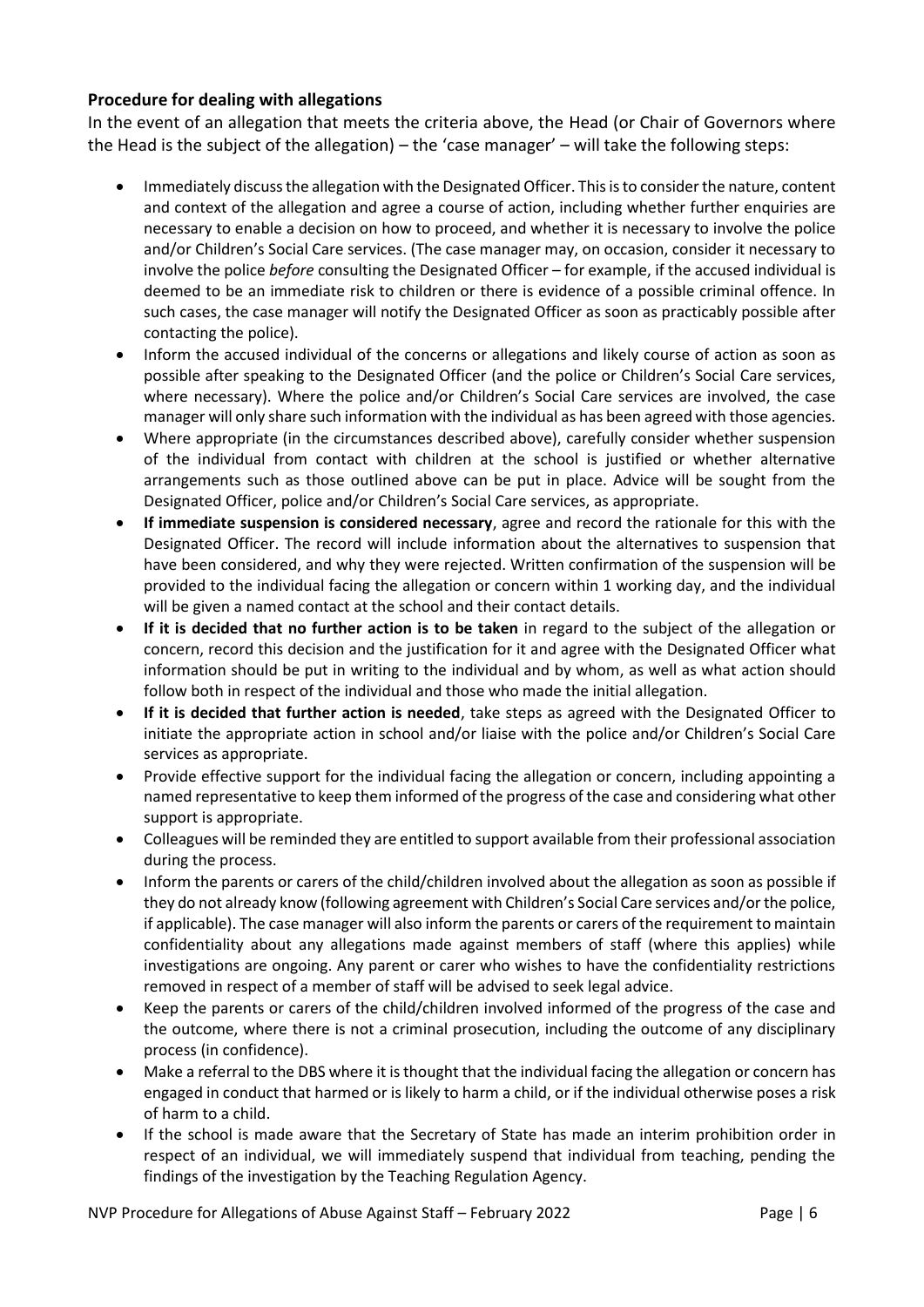## **Procedure for dealing with allegations**

In the event of an allegation that meets the criteria above, the Head (or Chair of Governors where the Head is the subject of the allegation) – the 'case manager' – will take the following steps:

- Immediately discuss the allegation with the Designated Officer. This is to consider the nature, content and context of the allegation and agree a course of action, including whether further enquiries are necessary to enable a decision on how to proceed, and whether it is necessary to involve the police and/or Children's Social Care services. (The case manager may, on occasion, consider it necessary to involve the police *before* consulting the Designated Officer – for example, if the accused individual is deemed to be an immediate risk to children or there is evidence of a possible criminal offence. In such cases, the case manager will notify the Designated Officer as soon as practicably possible after contacting the police).
- Inform the accused individual of the concerns or allegations and likely course of action as soon as possible after speaking to the Designated Officer (and the police or Children's Social Care services, where necessary). Where the police and/or Children's Social Care services are involved, the case manager will only share such information with the individual as has been agreed with those agencies.
- Where appropriate (in the circumstances described above), carefully consider whether suspension of the individual from contact with children at the school is justified or whether alternative arrangements such as those outlined above can be put in place. Advice will be sought from the Designated Officer, police and/or Children's Social Care services, as appropriate.
- **If immediate suspension is considered necessary**, agree and record the rationale for this with the Designated Officer. The record will include information about the alternatives to suspension that have been considered, and why they were rejected. Written confirmation of the suspension will be provided to the individual facing the allegation or concern within 1 working day, and the individual will be given a named contact at the school and their contact details.
- **If it is decided that no further action is to be taken** in regard to the subject of the allegation or concern, record this decision and the justification for it and agree with the Designated Officer what information should be put in writing to the individual and by whom, as well as what action should follow both in respect of the individual and those who made the initial allegation.
- **If it is decided that further action is needed**, take steps as agreed with the Designated Officer to initiate the appropriate action in school and/or liaise with the police and/or Children's Social Care services as appropriate.
- Provide effective support for the individual facing the allegation or concern, including appointing a named representative to keep them informed of the progress of the case and considering what other support is appropriate.
- Colleagues will be reminded they are entitled to support available from their professional association during the process.
- Inform the parents or carers of the child/children involved about the allegation as soon as possible if they do not already know (following agreement with Children's Social Care services and/or the police, if applicable). The case manager will also inform the parents or carers of the requirement to maintain confidentiality about any allegations made against members of staff (where this applies) while investigations are ongoing. Any parent or carer who wishes to have the confidentiality restrictions removed in respect of a member of staff will be advised to seek legal advice.
- Keep the parents or carers of the child/children involved informed of the progress of the case and the outcome, where there is not a criminal prosecution, including the outcome of any disciplinary process (in confidence).
- Make a referral to the DBS where it is thought that the individual facing the allegation or concern has engaged in conduct that harmed or is likely to harm a child, or if the individual otherwise poses a risk of harm to a child.
- If the school is made aware that the Secretary of State has made an interim prohibition order in respect of an individual, we will immediately suspend that individual from teaching, pending the findings of the investigation by the Teaching Regulation Agency.

NVP Procedure for Allegations of Abuse Against Staff – February 2022 **Page 16** Page | 6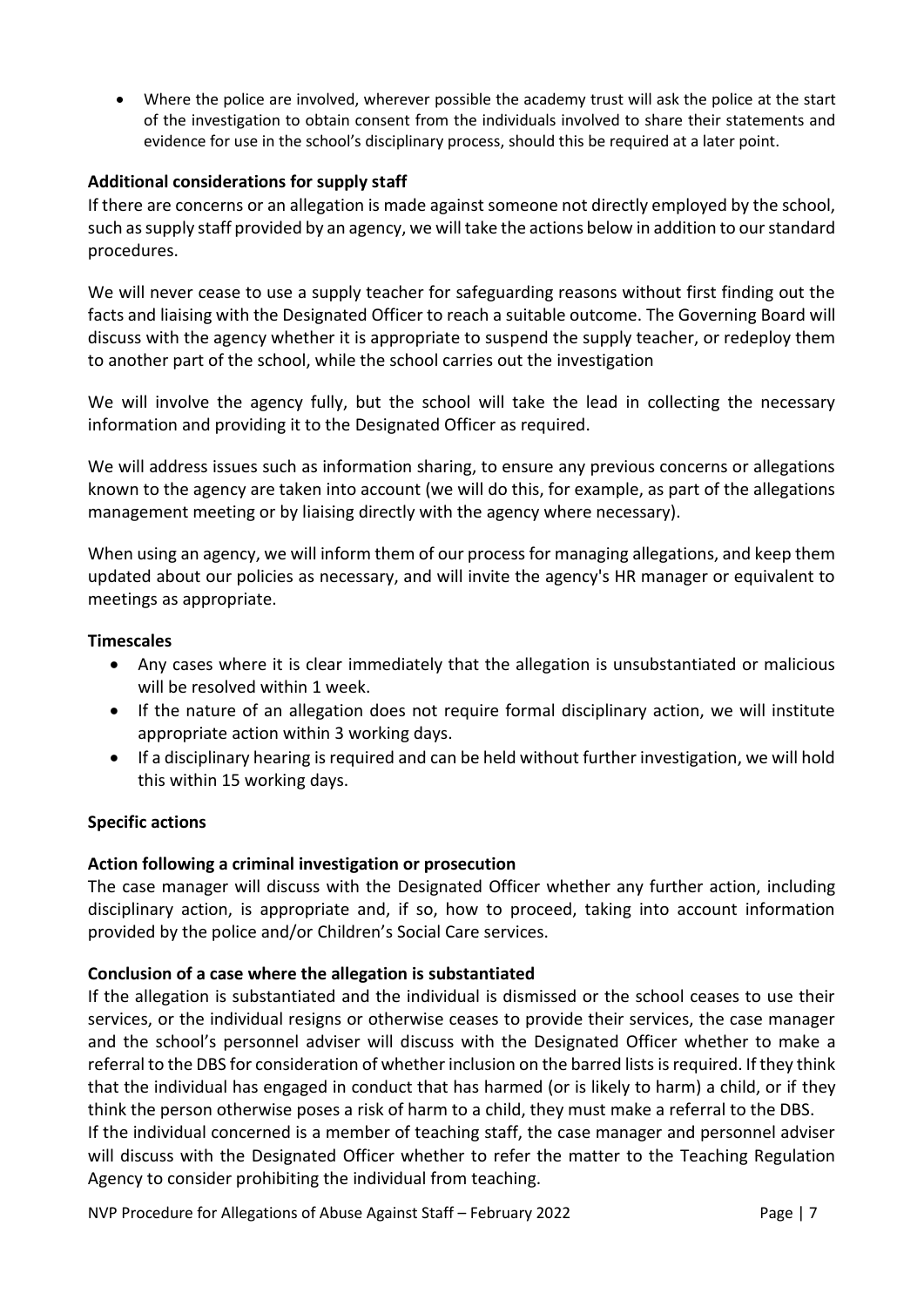• Where the police are involved, wherever possible the academy trust will ask the police at the start of the investigation to obtain consent from the individuals involved to share their statements and evidence for use in the school's disciplinary process, should this be required at a later point.

## **Additional considerations for supply staff**

If there are concerns or an allegation is made against someone not directly employed by the school, such as supply staff provided by an agency, we will take the actions below in addition to our standard procedures.

We will never cease to use a supply teacher for safeguarding reasons without first finding out the facts and liaising with the Designated Officer to reach a suitable outcome. The Governing Board will discuss with the agency whether it is appropriate to suspend the supply teacher, or redeploy them to another part of the school, while the school carries out the investigation

We will involve the agency fully, but the school will take the lead in collecting the necessary information and providing it to the Designated Officer as required.

We will address issues such as information sharing, to ensure any previous concerns or allegations known to the agency are taken into account (we will do this, for example, as part of the allegations management meeting or by liaising directly with the agency where necessary).

When using an agency, we will inform them of our process for managing allegations, and keep them updated about our policies as necessary, and will invite the agency's HR manager or equivalent to meetings as appropriate.

#### **Timescales**

- Any cases where it is clear immediately that the allegation is unsubstantiated or malicious will be resolved within 1 week.
- If the nature of an allegation does not require formal disciplinary action, we will institute appropriate action within 3 working days.
- If a disciplinary hearing is required and can be held without further investigation, we will hold this within 15 working days.

#### **Specific actions**

# **Action following a criminal investigation or prosecution**

The case manager will discuss with the Designated Officer whether any further action, including disciplinary action, is appropriate and, if so, how to proceed, taking into account information provided by the police and/or Children's Social Care services.

#### **Conclusion of a case where the allegation is substantiated**

If the allegation is substantiated and the individual is dismissed or the school ceases to use their services, or the individual resigns or otherwise ceases to provide their services, the case manager and the school's personnel adviser will discuss with the Designated Officer whether to make a referral to the DBS for consideration of whether inclusion on the barred lists is required. If they think that the individual has engaged in conduct that has harmed (or is likely to harm) a child, or if they think the person otherwise poses a risk of harm to a child, they must make a referral to the DBS. If the individual concerned is a member of teaching staff, the case manager and personnel adviser will discuss with the Designated Officer whether to refer the matter to the Teaching Regulation Agency to consider prohibiting the individual from teaching.

NVP Procedure for Allegations of Abuse Against Staff – February 2022 Page | 7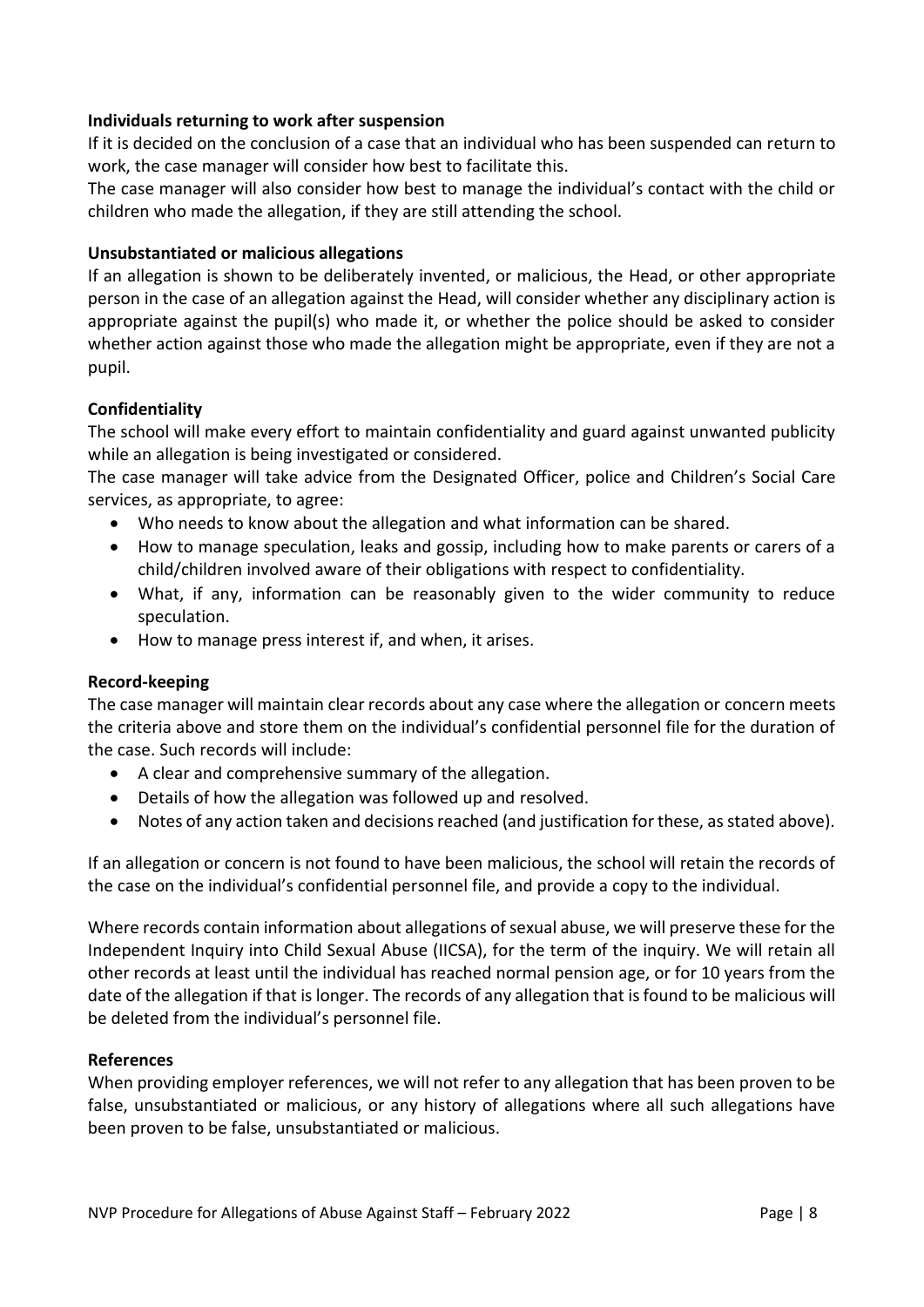## **Individuals returning to work after suspension**

If it is decided on the conclusion of a case that an individual who has been suspended can return to work, the case manager will consider how best to facilitate this.

The case manager will also consider how best to manage the individual's contact with the child or children who made the allegation, if they are still attending the school.

#### **Unsubstantiated or malicious allegations**

If an allegation is shown to be deliberately invented, or malicious, the Head, or other appropriate person in the case of an allegation against the Head, will consider whether any disciplinary action is appropriate against the pupil(s) who made it, or whether the police should be asked to consider whether action against those who made the allegation might be appropriate, even if they are not a pupil.

## **Confidentiality**

The school will make every effort to maintain confidentiality and guard against unwanted publicity while an allegation is being investigated or considered.

The case manager will take advice from the Designated Officer, police and Children's Social Care services, as appropriate, to agree:

- Who needs to know about the allegation and what information can be shared.
- How to manage speculation, leaks and gossip, including how to make parents or carers of a child/children involved aware of their obligations with respect to confidentiality.
- What, if any, information can be reasonably given to the wider community to reduce speculation.
- How to manage press interest if, and when, it arises.

#### **Record-keeping**

The case manager will maintain clear records about any case where the allegation or concern meets the criteria above and store them on the individual's confidential personnel file for the duration of the case. Such records will include:

- A clear and comprehensive summary of the allegation.
- Details of how the allegation was followed up and resolved.
- Notes of any action taken and decisions reached (and justification for these, as stated above).

If an allegation or concern is not found to have been malicious, the school will retain the records of the case on the individual's confidential personnel file, and provide a copy to the individual.

Where records contain information about allegations of sexual abuse, we will preserve these for the Independent Inquiry into Child Sexual Abuse (IICSA), for the term of the inquiry. We will retain all other records at least until the individual has reached normal pension age, or for 10 years from the date of the allegation if that is longer. The records of any allegation that is found to be malicious will be deleted from the individual's personnel file.

#### **References**

When providing employer references, we will not refer to any allegation that has been proven to be false, unsubstantiated or malicious, or any history of allegations where all such allegations have been proven to be false, unsubstantiated or malicious.